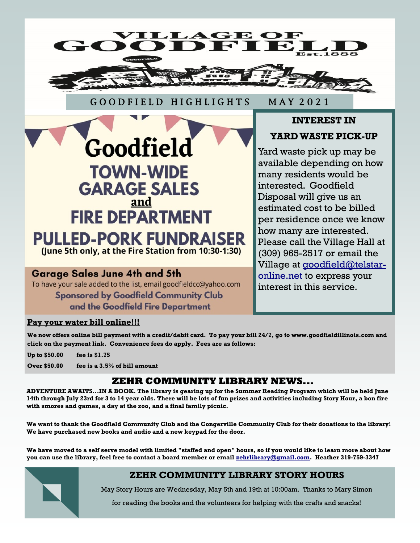

### G O O D F I E L D H I G H L I G H T S M A Y 2 0 2 1



# **Garage Sales June 4th and 5th**

To have your sale added to the list, email goodfieldcc@yahoo.com

**Sponsored by Goodfield Community Club** and the Goodfield Fire Department

# **INTEREST IN**

# **YARD WASTE PICK-UP**

Yard waste pick up may be available depending on how many residents would be interested. Goodfield Disposal will give us an estimated cost to be billed per residence once we know how many are interested. Please call the Village Hall at (309) 965-2517 or email the Village at [goodfield@telstar](mailto:goodfield@telstar-online.net)[online.net](mailto:goodfield@telstar-online.net) to express your interest in this service.

### **Pay your water bill online!!!**

**We now offers online bill payment with a credit/debit card. To pay your bill 24/7, go to www.goodfieldillinois.com and click on the payment link. Convenience fees do apply. Fees are as follows:**

**Up to \$50.00 fee is \$1.75**

**Over \$50.00 fee is a 3.5% of bill amount**

# **ZEHR COMMUNITY LIBRARY NEWS...**

**ADVENTURE AWAITS...IN A BOOK. The library is gearing up for the Summer Reading Program which will be held June 14th through July 23rd for 3 to 14 year olds. There will be lots of fun prizes and activities including Story Hour, a bon fire with smores and games, a day at the zoo, and a final family picnic.**

**We want to thank the Goodfield Community Club and the Congerville Community Club for their donations to the library! We have purchased new books and audio and a new keypad for the door.**

**We have moved to a self serve model with limited "staffed and open" hours, so if you would like to learn more about how you can use the library, feel free to contact a board member or email [zehrlibrary@gmail.com.](mailto:zehrlibrary@gmail.com) Heather 319-759-3347**

# **ZEHR COMMUNITY LIBRARY STORY HOURS**

May Story Hours are Wednesday, May 5th and 19th at 10:00am. Thanks to Mary Simon

for reading the books and the volunteers for helping with the crafts and snacks!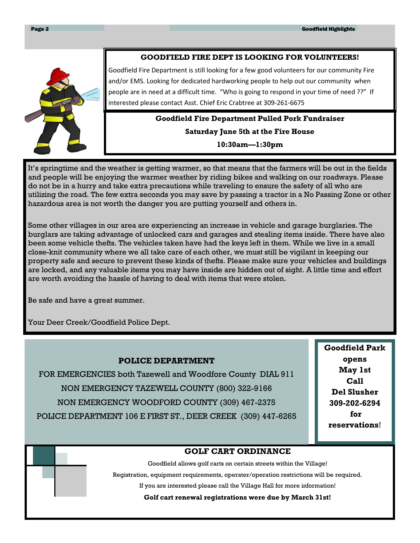#### **GOODFIELD FIRE DEPT IS LOOKING FOR VOLUNTEERS!**



Goodfield Fire Department is still looking for a few good volunteers for our community Fire and/or EMS. Looking for dedicated hardworking people to help out our community when people are in need at a difficult time. "Who is going to respond in your time of need ??" If interested please contact Asst. Chief Eric Crabtree at 309-261-6675

# **Goodfield Fire Department Pulled Pork Fundraiser Saturday June 5th at the Fire House 10:30am—1:30pm**

It's springtime and the weather is getting warmer, so that means that the farmers will be out in the fields and people will be enjoying the warmer weather by riding bikes and walking on our roadways. Please do not be in a hurry and take extra precautions while traveling to ensure the safety of all who are utilizing the road. The few extra seconds you may save by passing a tractor in a No Passing Zone or other hazardous area is not worth the danger you are putting yourself and others in.

Some other villages in our area are experiencing an increase in vehicle and garage burglaries. The burglars are taking advantage of unlocked cars and garages and stealing items inside. There have also been some vehicle thefts. The vehicles taken have had the keys left in them. While we live in a small close-knit community where we all take care of each other, we must still be vigilant in keeping our property safe and secure to prevent these kinds of thefts. Please make sure your vehicles and buildings are locked, and any valuable items you may have inside are hidden out of sight. A little time and effort are worth avoiding the hassle of having to deal with items that were stolen.

Be safe and have a great summer.

Your Deer Creek/Goodfield Police Dept.

#### **POLICE DEPARTMENT**

FOR EMERGENCIES both Tazewell and Woodfore County DIAL 911 NON EMERGENCY TAZEWELL COUNTY (800) 322-9166 NON EMERGENCY WOODFORD COUNTY (309) 467-2375 POLICE DEPARTMENT 106 E FIRST ST., DEER CREEK (309) 447-6265 **Goodfield Park opens May 1st Call Del Slusher 309-202-6294 for reservations**!

#### **GOLF CART ORDINANCE**

Goodfield allows golf carts on certain streets within the Village!

Registration, equipment requirements, operater/operation restrictions will be required.

If you are interested please call the Village Hall for more information!

**Golf cart renewal registrations were due by March 31st!**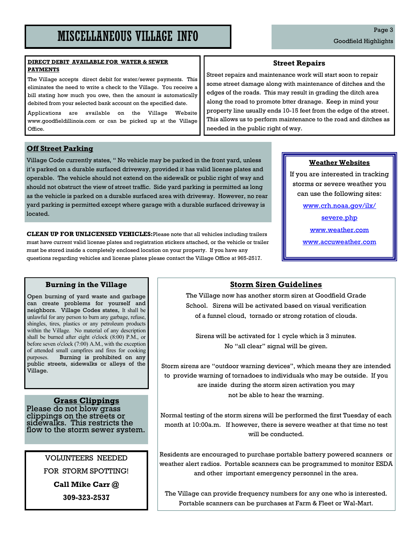#### **DIRECT DEBIT AVAILABLE FOR WATER & SEWER PAYMENTS**

The Village accepts direct debit for water/sewer payments. This eliminates the need to write a check to the Village. You receive a bill stating how much you owe, then the amount is automatically debited from your selected bank account on the specified date.

Applications are available on the Village Website www.goodfieldillinois.com or can be picked up at the Village Office.

#### **Off Street Parking**

Village Code currently states, " No vehicle may be parked in the front yard, unless it's parked on a durable surfaced driveway, provided it has valid license plates and operable. The vehicle should not extend on the sidewalk or public right of way and should not obstruct the view of street traffic. Side yard parking is permitted as long as the vehicle is parked on a durable surfaced area with driveway. However, no rear yard parking is permitted except where garage with a durable surfaced driveway is located.

**CLEAN UP FOR UNLICENSED VEHICLES:**Please note that all vehicles including trailers must have current valid license plates and registration stickers attached, or the vehicle or trailer must be stored inside a completely enclosed location on your property. If you have any questions regarding vehicles and license plates please contact the Village Office at 965-2517.

#### **Street Repairs**

Street repairs and maintenance work will start soon to repair some street damage along with maintenance of ditches and the edges of the roads. This may result in grading the ditch area along the road to promote btter dranage. Keep in mind your property line usually ends 10-15 feet from the edge of the street. This allows us to perform maintenance to the road and ditches as needed in the public right of way.

#### **Weather Websites**

If you are interested in tracking storms or severe weather you can use the following sites:

www.crh.noaa.gov/ilx/

severe.php

www.weather.com

www.accuweather.com

#### **Burning in the Village**

Open burning of yard waste and garbage can create problems for yourself and neighbors. Village Codes states, It shall be unlawful for any person to burn any garbage, refuse, shingles, tires, plastics or any petroleum products within the Village. No material of any description shall be burned after eight o'clock (8:00) P.M., or before seven o'clock (7:00) A.M., with the exception of attended small campfires and fires for cooking purposes. Burning is prohibited on any public streets, sidewalks or alleys of the Village.

#### **Grass Clippings**

Please do not blow grass clippings on the streets or sidewalks. This restricts the flow to the storm sewer system.

> VOLUNTEERS NEEDED FOR STORM SPOTTING! **Call Mike Carr @**

> > **309-323-2537**

### **Storm Siren Guidelines**

The Village now has another storm siren at Goodfield Grade School. Sirens will be activated based on visual verification of a funnel cloud, tornado or strong rotation of clouds.

Sirens will be activated for 1 cycle which is 3 minutes. No "all clear" signal will be given.

Storm sirens are "outdoor warning devices", which means they are intended to provide warning of tornadoes to individuals who may be outside. If you are inside during the storm siren activation you may not be able to hear the warning.

Normal testing of the storm sirens will be performed the first Tuesday of each month at 10:00a.m. If however, there is severe weather at that time no test will be conducted.

Residents are encouraged to purchase portable battery powered scanners or weather alert radios. Portable scanners can be programmed to monitor ESDA and other important emergency personnel in the area.

The Village can provide frequency numbers for any one who is interested. Portable scanners can be purchases at Farm & Fleet or Wal-Mart.